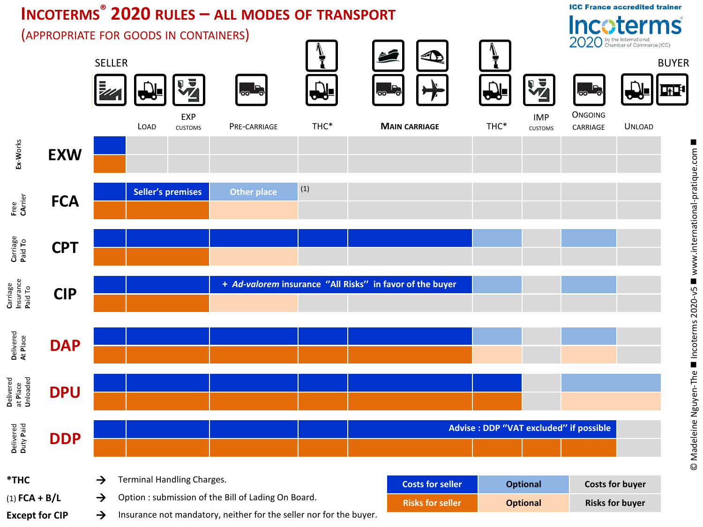## **INCOTERMS® 2020 RULES - ALL MODES OF TRANSPORT**

**Incoterms** (APPROPRIATE FOR GOODS IN CONTAINERS) 2020 by the International<br>Chamber of Commerce (ICC) i<br>I  $\triangle$ **SELLER BUYER** 罗 号 ∰∎ ൈ <u>ෙ</u>  $\odot$ **ONGOING** EXP **IMP** THC\* THC\* LOAD **CUSTOMS** PRE-CARRIAGE **MAIN CARRIAGE** CARRIAGE **UNLOAD CUSTOMS** Ex-Works **EXW**  $(1)$ **Seller's premises Other place** Free<br>CArrier **FCA** Carriage<br>Paid To **CPT** Carriage<br>Insurance<br>Paid To + Ad-valorem insurance "All Risks" in favor of the buyer **CIP** Delivered<br>At Place **DAP** Delivered<br>at Place<br>Unloaded **DPU** Delivered<br>Duty Paid **Advise : DDP "VAT excluded" if possible DDP** \*THC Terminal Handling Charges.  $\rightarrow$ **Costs for seller Optional Costs for buyer**  $(1)$  FCA + B/L Option: submission of the Bill of Lading On Board.  $\rightarrow$ **Risks for seller Optional Risks for buyer** Insurance not mandatory, neither for the seller nor for the buyer. **Except for CIP**  $\rightarrow$ 

**ICC France accredited trainer**